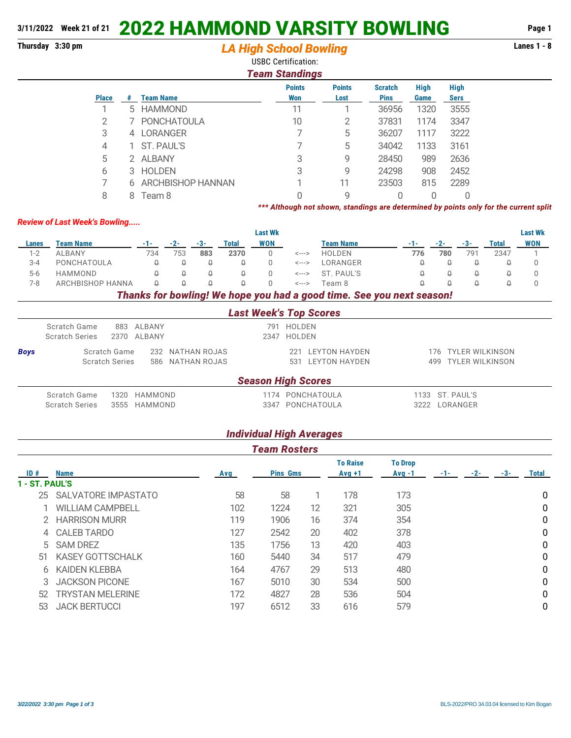## **3/11/2022 Week 21 of 21** 2022 HAMMOND VARSITY BOWLING **Page 1**

## **Thursday 3:30 pm Lanes 1 - 8** *LA High School Bowling*

USBC Certification:

|              | <b>Team Standings</b> |                    |                      |                       |                               |                     |                            |  |  |  |  |  |
|--------------|-----------------------|--------------------|----------------------|-----------------------|-------------------------------|---------------------|----------------------------|--|--|--|--|--|
| <b>Place</b> | #                     | <b>Team Name</b>   | <b>Points</b><br>Won | <b>Points</b><br>Lost | <b>Scratch</b><br><b>Pins</b> | <b>High</b><br>Game | <b>High</b><br><b>Sers</b> |  |  |  |  |  |
|              |                       |                    |                      |                       |                               |                     |                            |  |  |  |  |  |
|              | 5                     | <b>HAMMOND</b>     | 11                   |                       | 36956                         | 1320                | 3555                       |  |  |  |  |  |
| 2            |                       | <b>PONCHATOULA</b> | 10                   | 2                     | 37831                         | 1174                | 3347                       |  |  |  |  |  |
| 3            | 4                     | <b>LORANGER</b>    |                      | 5                     | 36207                         | 1117                | 3222                       |  |  |  |  |  |
| 4            |                       | ST. PAUL'S         |                      | 5                     | 34042                         | 1133                | 3161                       |  |  |  |  |  |
| 5            | 2.                    | ALBANY             | 3                    | 9                     | 28450                         | 989                 | 2636                       |  |  |  |  |  |
| 6            | 3.                    | <b>HOLDEN</b>      | 3                    | 9                     | 24298                         | 908                 | 2452                       |  |  |  |  |  |
|              | 6                     | ARCHBISHOP HANNAN  |                      | 11                    | 23503                         | 815                 | 2289                       |  |  |  |  |  |
| 8            | 8                     | Team 8             |                      | 9                     |                               |                     |                            |  |  |  |  |  |

*\*\*\* Although not shown, standings are determined by points only for the current split*

## *Review of Last Week's Bowling.....*

|         |                  |     |     |          |          | <b>Last Wk</b> |       |                                                                                 |       |     |       |       | <b>Last Wk</b> |
|---------|------------------|-----|-----|----------|----------|----------------|-------|---------------------------------------------------------------------------------|-------|-----|-------|-------|----------------|
| Lanes   | Team Name        |     |     | -3-      | Total    | <b>WON</b>     |       | <b>Team Name</b>                                                                | - 1 - |     | $-3-$ | Total | <b>WON</b>     |
| $1 - 2$ | ALBANY           | 734 | 753 | 883      | 2370     |                | <---> | <b>HOLDEN</b>                                                                   | 776   | 780 | 791   | 2347  |                |
| $3 - 4$ | PONCHATOULA      |     |     |          |          |                | <---> | LORANGER                                                                        |       |     |       |       |                |
| $5-6$   | HAMMOND          |     | O.  | $\Theta$ |          |                |       | <---> ST. PAUL'S                                                                |       |     |       |       |                |
| 7-8     | ARCHBISHOP HANNA |     |     | $\Omega$ | $\theta$ |                | <---> | Team 8                                                                          |       |     |       |       |                |
|         |                  |     |     |          |          |                |       | the contract of the contract of the contract of the contract of the contract of |       |     |       |       |                |

*Thanks for bowling! We hope you had a good time. See you next season!*

|             | <b>Last Week's Top Scores</b>                                                 |                                    |  |                                                  |                                            |  |  |  |  |  |  |
|-------------|-------------------------------------------------------------------------------|------------------------------------|--|--------------------------------------------------|--------------------------------------------|--|--|--|--|--|--|
|             | Scratch Game<br><b>Scratch Series</b>                                         | 883 ALBANY<br>2370 ALBANY          |  | 791 HOLDEN<br>2347 HOLDEN                        |                                            |  |  |  |  |  |  |
| <b>Boys</b> | Scratch Game<br>232 NATHAN ROJAS<br><b>Scratch Series</b><br>586 NATHAN ROJAS |                                    |  | <b>LEYTON HAYDEN</b><br>221<br>531 LEYTON HAYDEN | 176 TYLER WILKINSON<br>499 TYLER WILKINSON |  |  |  |  |  |  |
|             |                                                                               |                                    |  | <b>Season High Scores</b>                        |                                            |  |  |  |  |  |  |
|             | Scratch Game<br><b>Scratch Series</b>                                         | 1320<br>HAMMOND<br>HAMMOND<br>3555 |  | 1174 PONCHATOULA<br>3347 PONCHATOULA             | 1133 ST. PAUL'S<br>LORANGER<br>3222        |  |  |  |  |  |  |

| <b>Individual High Averages</b> |
|---------------------------------|
| <b>Team Rosters</b>             |
|                                 |

| ID#            | <b>Name</b>             | Avg | <b>Pins Gms</b> |    | <b>To Raise</b><br>$Avg +1$ | <b>To Drop</b><br>$Avg -1$ | -1- | $-2-$ | -3- | <b>Total</b> |
|----------------|-------------------------|-----|-----------------|----|-----------------------------|----------------------------|-----|-------|-----|--------------|
| 1 - ST. PAUL'S |                         |     |                 |    |                             |                            |     |       |     |              |
| 25             | SALVATORE IMPASTATO     | 58  | 58              |    | 178                         | 173                        |     |       |     | 0            |
|                | <b>WILLIAM CAMPBELL</b> | 102 | 1224            | 12 | 321                         | 305                        |     |       |     | 0            |
|                | <b>HARRISON MURR</b>    | 119 | 1906            | 16 | 374                         | 354                        |     |       |     | 0            |
| 4              | <b>CALEB TARDO</b>      | 127 | 2542            | 20 | 402                         | 378                        |     |       |     | 0            |
| 5.             | <b>SAM DREZ</b>         | 135 | 1756            | 13 | 420                         | 403                        |     |       |     | 0            |
| 51             | <b>KASEY GOTTSCHALK</b> | 160 | 5440            | 34 | 517                         | 479                        |     |       |     | $\mathbf{0}$ |
| 6              | <b>KAIDEN KLEBBA</b>    | 164 | 4767            | 29 | 513                         | 480                        |     |       |     | $\mathbf{0}$ |
|                | <b>JACKSON PICONE</b>   | 167 | 5010            | 30 | 534                         | 500                        |     |       |     | $\mathbf{0}$ |
| 52             | <b>TRYSTAN MELERINE</b> | 172 | 4827            | 28 | 536                         | 504                        |     |       |     | 0            |
| 53             | <b>JACK BERTUCCI</b>    | 197 | 6512            | 33 | 616                         | 579                        |     |       |     | 0            |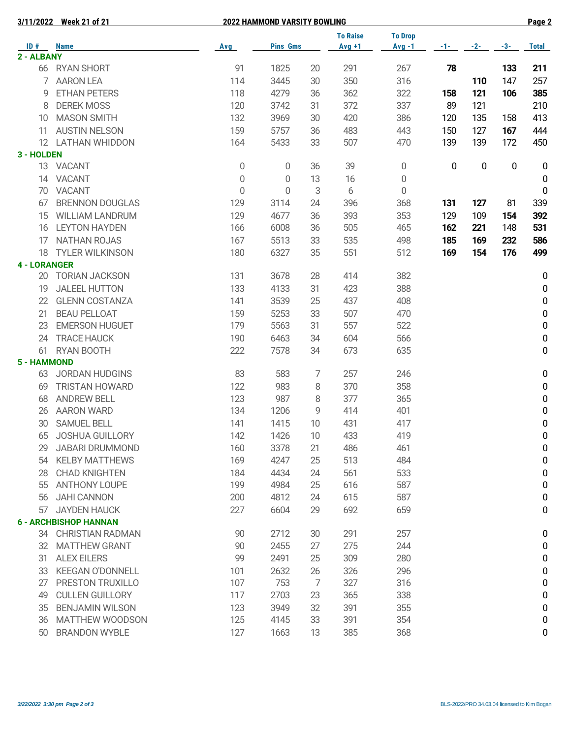**3/11/2022 Week 21 of 21 2022 HAMMOND VARSITY BOWLING Page 2**

|                     |                              |             |                 |    | <b>To Raise</b> | <b>To Drop</b>   |           |           |                  |                  |
|---------------------|------------------------------|-------------|-----------------|----|-----------------|------------------|-----------|-----------|------------------|------------------|
| ID#<br>2 - ALBANY   | <b>Name</b>                  | Avg         | <b>Pins Gms</b> |    | $Avg +1$        | $Avg -1$         | -1-       | $-2-$     | $-3-$            | <b>Total</b>     |
|                     | 66 RYAN SHORT                | 91          | 1825            | 20 | 291             | 267              | 78        |           | 133              | 211              |
|                     | <b>AARON LEA</b>             | 114         | 3445            | 30 | 350             | 316              |           | 110       | 147              | 257              |
| 9                   | <b>ETHAN PETERS</b>          | 118         | 4279            |    |                 |                  |           |           |                  |                  |
|                     |                              |             |                 | 36 | 362             | 322              | 158       | 121       | 106              | 385              |
| 8                   | <b>DEREK MOSS</b>            | 120         | 3742            | 31 | 372             | 337              | 89        | 121       |                  | 210              |
| 10                  | <b>MASON SMITH</b>           | 132         | 3969            | 30 | 420             | 386              | 120       | 135       | 158              | 413              |
| 11                  | <b>AUSTIN NELSON</b>         | 159         | 5757            | 36 | 483             | 443              | 150       | 127       | 167              | 444              |
|                     | 12 LATHAN WHIDDON            | 164         | 5433            | 33 | 507             | 470              | 139       | 139       | 172              | 450              |
| 3 - HOLDEN          |                              |             |                 |    |                 |                  |           |           |                  |                  |
|                     | 13 VACANT                    | 0           | 0               | 36 | 39              | 0                | $\pmb{0}$ | $\pmb{0}$ | $\boldsymbol{0}$ | 0                |
|                     | 14 VACANT                    | $\mathbf 0$ | 0               | 13 | 16              | $\boldsymbol{0}$ |           |           |                  | 0                |
|                     | 70 VACANT                    | $\mathbf 0$ | 0               | 3  | 6               | $\boldsymbol{0}$ |           |           |                  | $\boldsymbol{0}$ |
| 67                  | <b>BRENNON DOUGLAS</b>       | 129         | 3114            | 24 | 396             | 368              | 131       | 127       | 81               | 339              |
| 15                  | <b>WILLIAM LANDRUM</b>       | 129         | 4677            | 36 | 393             | 353              | 129       | 109       | 154              | 392              |
| 16                  | <b>LEYTON HAYDEN</b>         | 166         | 6008            | 36 | 505             | 465              | 162       | 221       | 148              | 531              |
| 17                  | <b>NATHAN ROJAS</b>          | 167         | 5513            | 33 | 535             | 498              | 185       | 169       | 232              | 586              |
| 18                  | <b>TYLER WILKINSON</b>       | 180         | 6327            | 35 | 551             | 512              | 169       | 154       | 176              | 499              |
| <b>4 - LORANGER</b> |                              |             |                 |    |                 |                  |           |           |                  |                  |
|                     | 20 TORIAN JACKSON            | 131         | 3678            | 28 | 414             | 382              |           |           |                  | 0                |
| 19                  | <b>JALEEL HUTTON</b>         | 133         | 4133            | 31 | 423             | 388              |           |           |                  | 0                |
| 22                  | <b>GLENN COSTANZA</b>        | 141         | 3539            | 25 | 437             | 408              |           |           |                  | 0                |
| 21                  | <b>BEAU PELLOAT</b>          | 159         | 5253            | 33 | 507             | 470              |           |           |                  | $\pmb{0}$        |
| 23                  | <b>EMERSON HUGUET</b>        | 179         | 5563            | 31 | 557             | 522              |           |           |                  | $\pmb{0}$        |
| 24                  | <b>TRACE HAUCK</b>           | 190         | 6463            | 34 | 604             | 566              |           |           |                  | $\pmb{0}$        |
| 61                  | RYAN BOOTH                   | 222         | 7578            | 34 | 673             | 635              |           |           |                  | 0                |
| 5 - HAMMOND         |                              |             |                 |    |                 |                  |           |           |                  |                  |
|                     | 63 JORDAN HUDGINS            | 83          | 583             | 7  | 257             | 246              |           |           |                  | $\pmb{0}$        |
| 69                  | <b>TRISTAN HOWARD</b>        | 122         | 983             | 8  | 370             | 358              |           |           |                  | $\pmb{0}$        |
| 68                  | <b>ANDREW BELL</b>           | 123         | 987             | 8  | 377             | 365              |           |           |                  | $\pmb{0}$        |
| 26                  | <b>AARON WARD</b>            | 134         | 1206            | 9  | 414             | 401              |           |           |                  | $\pmb{0}$        |
| 30                  | <b>SAMUEL BELL</b>           | 141         | 1415            | 10 | 431             | 417              |           |           |                  | $\pmb{0}$        |
| 65                  | <b>JOSHUA GUILLORY</b>       | 142         | 1426            | 10 | 433             | 419              |           |           |                  | $\pmb{0}$        |
| 29                  | <b>JABARI DRUMMOND</b>       | 160         | 3378            | 21 | 486             | 461              |           |           |                  | $\pmb{0}$        |
| 54                  | <b>KELBY MATTHEWS</b>        | 169         | 4247            | 25 | 513             | 484              |           |           |                  | 0                |
| 28                  | <b>CHAD KNIGHTEN</b>         | 184         | 4434            | 24 | 561             | 533              |           |           |                  | 0                |
| 55                  | <b>ANTHONY LOUPE</b>         | 199         | 4984            | 25 | 616             | 587              |           |           |                  | 0                |
| 56                  | <b>JAHI CANNON</b>           | 200         | 4812            | 24 | 615             | 587              |           |           |                  | 0                |
| 57                  | <b>JAYDEN HAUCK</b>          | 227         | 6604            | 29 | 692             | 659              |           |           |                  | 0                |
|                     | <b>6 - ARCHBISHOP HANNAN</b> |             |                 |    |                 |                  |           |           |                  |                  |
|                     | 34 CHRISTIAN RADMAN          | 90          | 2712            | 30 | 291             | 257              |           |           |                  | 0                |
|                     | 32 MATTHEW GRANT             | 90          | 2455            | 27 | 275             | 244              |           |           |                  | 0                |
| 31                  | <b>ALEX EILERS</b>           | 99          | 2491            | 25 | 309             | 280              |           |           |                  | 0                |
| 33                  | <b>KEEGAN O'DONNELL</b>      | 101         | 2632            | 26 | 326             | 296              |           |           |                  | 0                |
| 27                  | PRESTON TRUXILLO             | 107         | 753             | 7  | 327             | 316              |           |           |                  | 0                |
| 49                  | <b>CULLEN GUILLORY</b>       | 117         | 2703            | 23 | 365             | 338              |           |           |                  | 0                |
| 35                  | <b>BENJAMIN WILSON</b>       | 123         | 3949            | 32 | 391             | 355              |           |           |                  | 0                |
| 36                  | MATTHEW WOODSON              | 125         | 4145            | 33 | 391             | 354              |           |           |                  | 0                |
| 50                  | <b>BRANDON WYBLE</b>         | 127         | 1663            | 13 | 385             | 368              |           |           |                  | 0                |
|                     |                              |             |                 |    |                 |                  |           |           |                  |                  |